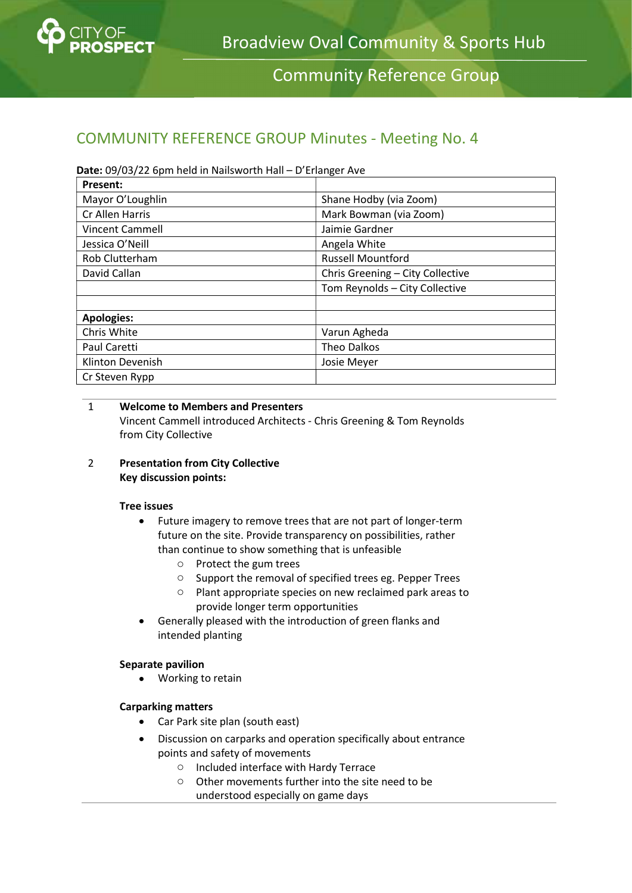

Community Reference Group

# COMMUNITY REFERENCE GROUP Minutes - Meeting No. 4

# Date: 09/03/22 6pm held in Nailsworth Hall – D'Erlanger Ave

| Present:               |                                  |
|------------------------|----------------------------------|
| Mayor O'Loughlin       | Shane Hodby (via Zoom)           |
| Cr Allen Harris        | Mark Bowman (via Zoom)           |
| <b>Vincent Cammell</b> | Jaimie Gardner                   |
| Jessica O'Neill        | Angela White                     |
| Rob Clutterham         | <b>Russell Mountford</b>         |
| David Callan           | Chris Greening - City Collective |
|                        | Tom Reynolds - City Collective   |
|                        |                                  |
| <b>Apologies:</b>      |                                  |
| Chris White            | Varun Agheda                     |
| Paul Caretti           | Theo Dalkos                      |
| Klinton Devenish       | Josie Meyer                      |
| Cr Steven Rypp         |                                  |

#### 1 Welcome to Members and Presenters Vincent Cammell introduced Architects - Chris Greening & Tom Reynolds from City Collective

2 Presentation from City Collective Key discussion points:

# Tree issues

- Future imagery to remove trees that are not part of longer-term future on the site. Provide transparency on possibilities, rather than continue to show something that is unfeasible
	- o Protect the gum trees
	- o Support the removal of specified trees eg. Pepper Trees
	- o Plant appropriate species on new reclaimed park areas to provide longer term opportunities
- Generally pleased with the introduction of green flanks and intended planting

# Separate pavilion

• Working to retain

# Carparking matters

- Car Park site plan (south east)
- Discussion on carparks and operation specifically about entrance points and safety of movements
	- o Included interface with Hardy Terrace
	- o Other movements further into the site need to be understood especially on game days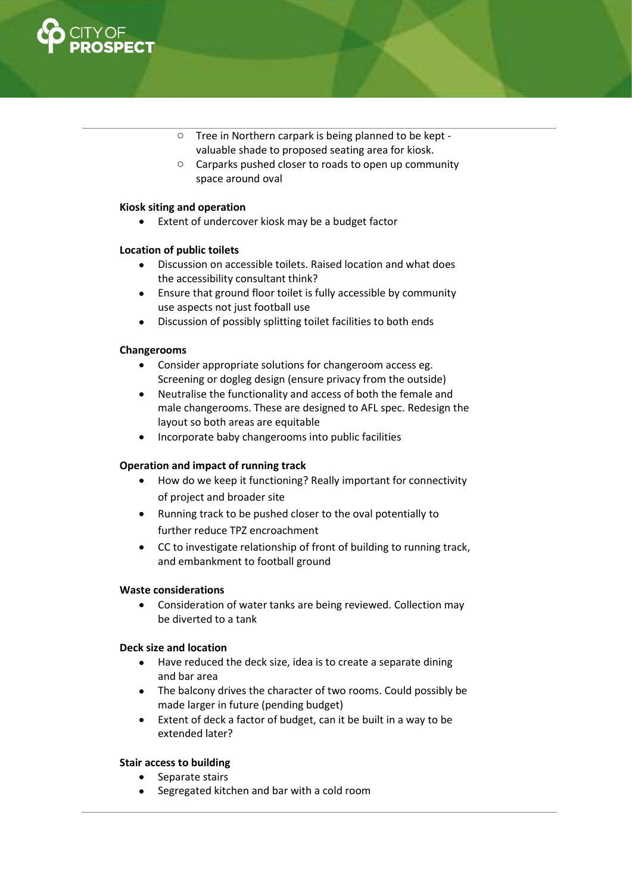

- o Tree in Northern carpark is being planned to be kept valuable shade to proposed seating area for kiosk.
- o Carparks pushed closer to roads to open up community space around oval

#### Kiosk siting and operation

Extent of undercover kiosk may be a budget factor

#### Location of public toilets

- Discussion on accessible toilets. Raised location and what does the accessibility consultant think?
- Ensure that ground floor toilet is fully accessible by community use aspects not just football use
- Discussion of possibly splitting toilet facilities to both ends

# Changerooms

- Consider appropriate solutions for changeroom access eg. Screening or dogleg design (ensure privacy from the outside)
- Neutralise the functionality and access of both the female and male changerooms. These are designed to AFL spec. Redesign the layout so both areas are equitable
- Incorporate baby changerooms into public facilities

# Operation and impact of running track

- How do we keep it functioning? Really important for connectivity of project and broader site
- Running track to be pushed closer to the oval potentially to further reduce TPZ encroachment
- CC to investigate relationship of front of building to running track, and embankment to football ground

# Waste considerations

 Consideration of water tanks are being reviewed. Collection may be diverted to a tank

# Deck size and location

- Have reduced the deck size, idea is to create a separate dining and bar area
- The balcony drives the character of two rooms. Could possibly be made larger in future (pending budget)
- Extent of deck a factor of budget, can it be built in a way to be extended later?

# Stair access to building

- Separate stairs
- Segregated kitchen and bar with a cold room